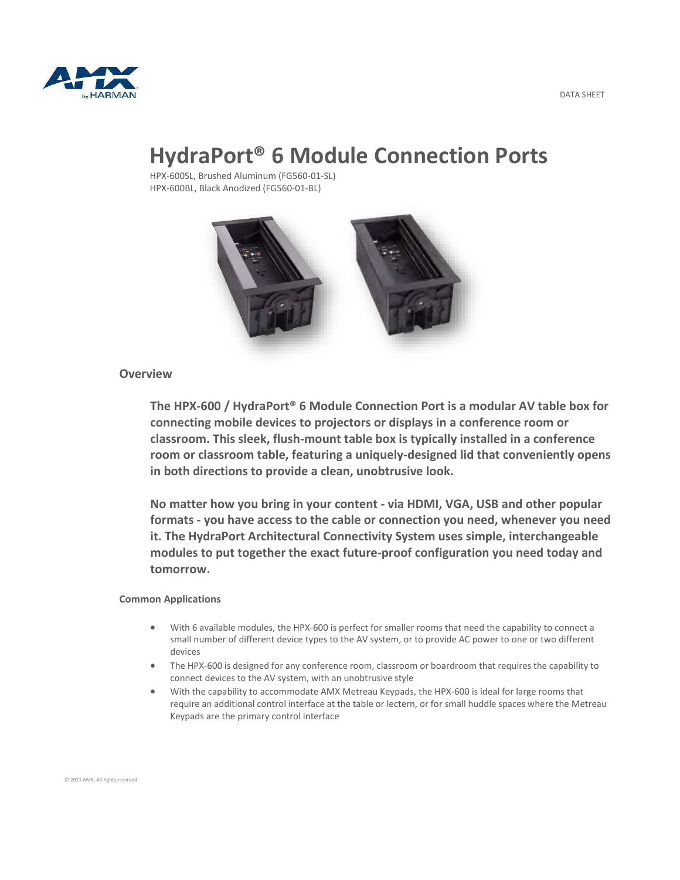



# **HydraPort® 6 Module Connection Ports**

HPX-600SL, Brushed Aluminum (FG560-01-SL) HPX-600BL, Black Anodized (FG560-01-BL)



## **Overview**

**The HPX-600 / HydraPort® 6 Module Connection Port is a modular AV table box for connecting mobile devices to projectors or displays in a conference room or classroom. This sleek, flush-mount table box is typically installed in a conference room or classroom table, featuring a uniquely-designed lid that conveniently opens in both directions to provide a clean, unobtrusive look.**

**No matter how you bring in your content - via HDMI, VGA, USB and other popular formats - you have access to the cable or connection you need, whenever you need it. The HydraPort Architectural Connectivity System uses simple, interchangeable modules to put together the exact future-proof configuration you need today and tomorrow.**

### **Common Applications**

- With 6 available modules, the HPX-600 is perfect for smaller rooms that need the capability to connect a small number of different device types to the AV system, or to provide AC power to one or two different devices
- The HPX-600 is designed for any conference room, classroom or boardroom that requires the capability to connect devices to the AV system, with an unobtrusive style
- With the capability to accommodate AMX Metreau Keypads, the HPX-600 is ideal for large rooms that require an additional control interface at the table or lectern, or for small huddle spaces where the Metreau Keypads are the primary control interface

© 2021 AMX. All rights reserved.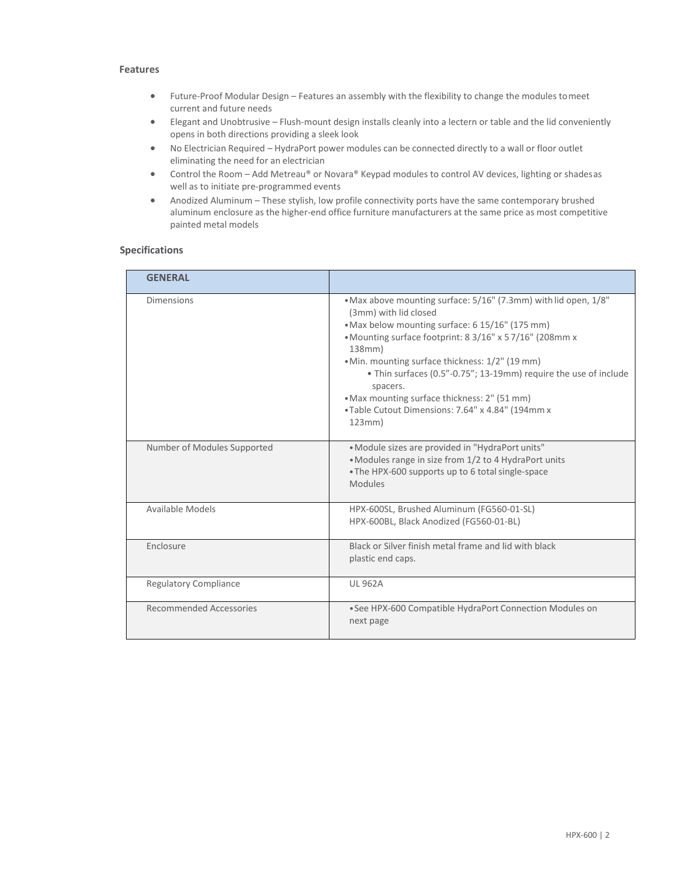#### **Features**

- Future-Proof Modular Design Features an assembly with the flexibility to change the modules tomeet current and future needs
- Elegant and Unobtrusive Flush-mount design installs cleanly into a lectern or table and the lid conveniently opens in both directions providing a sleek look
- No Electrician Required HydraPort power modules can be connected directly to a wall or floor outlet eliminating the need for an electrician
- Control the Room Add Metreau® or Novara® Keypad modules to control AV devices, lighting or shadesas well as to initiate pre-programmed events
- Anodized Aluminum These stylish, low profile connectivity ports have the same contemporary brushed aluminum enclosure as the higher-end office furniture manufacturers at the same price as most competitive painted metal models

### **Specifications**

| <b>GENERAL</b>               |                                                                                                                                                                                                                                                                                                                                                                                                                                                                     |
|------------------------------|---------------------------------------------------------------------------------------------------------------------------------------------------------------------------------------------------------------------------------------------------------------------------------------------------------------------------------------------------------------------------------------------------------------------------------------------------------------------|
| <b>Dimensions</b>            | • Max above mounting surface: 5/16" (7.3mm) with lid open, 1/8"<br>(3mm) with lid closed<br>. Max below mounting surface: 6 15/16" (175 mm)<br>• Mounting surface footprint: 8 3/16" x 5 7/16" (208mm x<br>138mm)<br>• Min. mounting surface thickness: 1/2" (19 mm)<br>• Thin surfaces (0.5"-0.75"; 13-19mm) require the use of include<br>spacers.<br>• Max mounting surface thickness: 2" (51 mm)<br>• Table Cutout Dimensions: 7.64" x 4.84" (194mm x<br>123mm) |
| Number of Modules Supported  | . Module sizes are provided in "HydraPort units"<br>• Modules range in size from 1/2 to 4 HydraPort units<br>• The HPX-600 supports up to 6 total single-space<br><b>Modules</b>                                                                                                                                                                                                                                                                                    |
| Available Models             | HPX-600SL, Brushed Aluminum (FG560-01-SL)<br>HPX-600BL, Black Anodized (FG560-01-BL)                                                                                                                                                                                                                                                                                                                                                                                |
| Enclosure                    | Black or Silver finish metal frame and lid with black<br>plastic end caps.                                                                                                                                                                                                                                                                                                                                                                                          |
| <b>Regulatory Compliance</b> | <b>UL 962A</b>                                                                                                                                                                                                                                                                                                                                                                                                                                                      |
| Recommended Accessories      | • See HPX-600 Compatible HydraPort Connection Modules on<br>next page                                                                                                                                                                                                                                                                                                                                                                                               |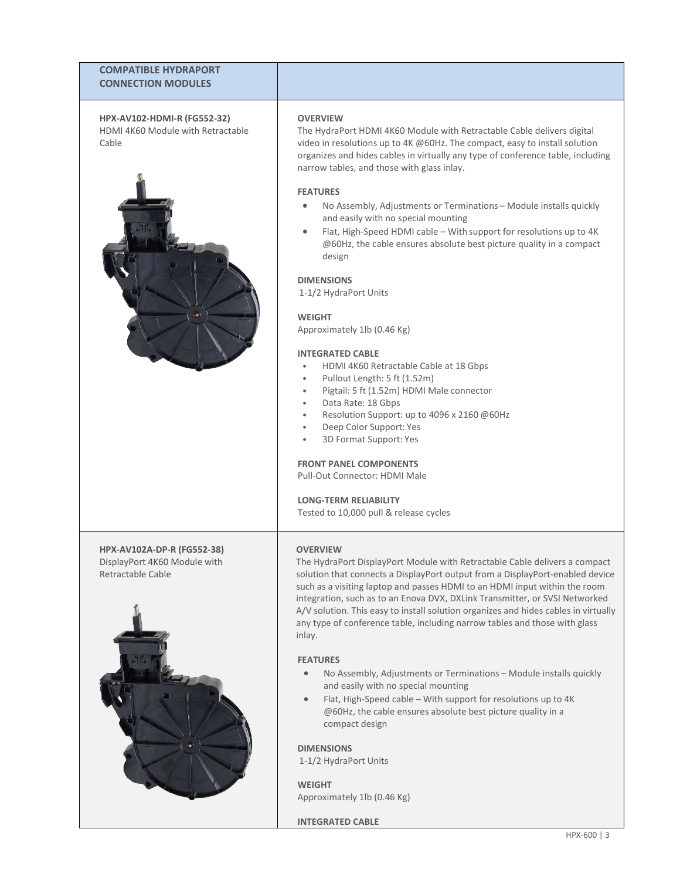## **COMPATIBLE HYDRAPORT CONNECTION MODULES**

**HPX-AV102-HDMI-R (FG552-32)** HDMI 4K60 Module with Retractable Cable



**HPX-AV102A-DP-R (FG552-38)** DisplayPort 4K60 Module with Retractable Cable



#### **OVERVIEW**

The HydraPort HDMI 4K60 Module with Retractable Cable delivers digital video in resolutions up to 4K @60Hz. The compact, easy to install solution organizes and hides cables in virtually any type of conference table, including narrow tables, and those with glass inlay.

#### **FEATURES**

- No Assembly, Adjustments or Terminations Module installs quickly and easily with no special mounting
- Flat, High-Speed HDMI cable With support for resolutions up to 4K @60Hz, the cable ensures absolute best picture quality in a compact design

#### **DIMENSIONS**

1-1/2 HydraPort Units

#### **WEIGHT**

Approximately 1lb (0.46 Kg)

#### **INTEGRATED CABLE**

- HDMI 4K60 Retractable Cable at 18 Gbps
- Pullout Length: 5 ft (1.52m)
- Pigtail: 5 ft (1.52m) HDMI Male connector
- Data Rate: 18 Gbps
- Resolution Support: up to 4096 x 2160 @60Hz
- Deep Color Support: Yes
- 3D Format Support: Yes

#### **FRONT PANEL COMPONENTS**

Pull-Out Connector: HDMI Male

### **LONG-TERM RELIABILITY**

Tested to 10,000 pull & release cycles

### **OVERVIEW**

The HydraPort DisplayPort Module with Retractable Cable delivers a compact solution that connects a DisplayPort output from a DisplayPort-enabled device such as a visiting laptop and passes HDMI to an HDMI input within the room integration, such as to an Enova DVX, DXLink Transmitter, or SVSI Networked A/V solution. This easy to install solution organizes and hides cables in virtually any type of conference table, including narrow tables and those with glass inlay.

### **FEATURES**

- No Assembly, Adjustments or Terminations Module installs quickly and easily with no special mounting
- Flat, High-Speed cable With support for resolutions up to 4K @60Hz, the cable ensures absolute best picture quality in a compact design

#### **DIMENSIONS**

1-1/2 HydraPort Units

#### **WEIGHT**

Approximately 1lb (0.46 Kg)

**INTEGRATED CABLE**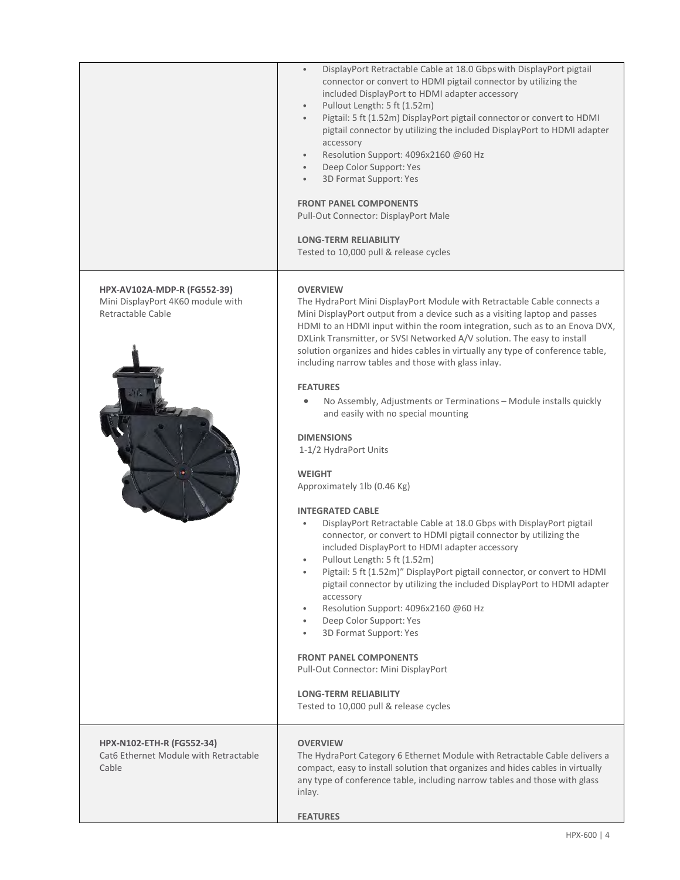|                                                                                       | DisplayPort Retractable Cable at 18.0 Gbps with DisplayPort pigtail<br>$\bullet$<br>connector or convert to HDMI pigtail connector by utilizing the<br>included DisplayPort to HDMI adapter accessory<br>Pullout Length: 5 ft (1.52m)<br>$\bullet$<br>Pigtail: 5 ft (1.52m) DisplayPort pigtail connector or convert to HDMI<br>pigtail connector by utilizing the included DisplayPort to HDMI adapter<br>accessory<br>Resolution Support: 4096x2160 @60 Hz<br>Deep Color Support: Yes<br>$\bullet$<br>3D Format Support: Yes<br><b>FRONT PANEL COMPONENTS</b><br>Pull-Out Connector: DisplayPort Male<br><b>LONG-TERM RELIABILITY</b><br>Tested to 10,000 pull & release cycles                                                                                                                                                                                                                                                                                                                                                                                                                                                                                                                                                                                                                                                                                                                                                         |
|---------------------------------------------------------------------------------------|-------------------------------------------------------------------------------------------------------------------------------------------------------------------------------------------------------------------------------------------------------------------------------------------------------------------------------------------------------------------------------------------------------------------------------------------------------------------------------------------------------------------------------------------------------------------------------------------------------------------------------------------------------------------------------------------------------------------------------------------------------------------------------------------------------------------------------------------------------------------------------------------------------------------------------------------------------------------------------------------------------------------------------------------------------------------------------------------------------------------------------------------------------------------------------------------------------------------------------------------------------------------------------------------------------------------------------------------------------------------------------------------------------------------------------------------|
| HPX-AV102A-MDP-R (FG552-39)<br>Mini DisplayPort 4K60 module with<br>Retractable Cable | <b>OVERVIEW</b><br>The HydraPort Mini DisplayPort Module with Retractable Cable connects a<br>Mini DisplayPort output from a device such as a visiting laptop and passes<br>HDMI to an HDMI input within the room integration, such as to an Enova DVX,<br>DXLink Transmitter, or SVSI Networked A/V solution. The easy to install<br>solution organizes and hides cables in virtually any type of conference table,<br>including narrow tables and those with glass inlay.<br><b>FEATURES</b><br>No Assembly, Adjustments or Terminations - Module installs quickly<br>$\bullet$<br>and easily with no special mounting<br><b>DIMENSIONS</b><br>1-1/2 HydraPort Units<br><b>WEIGHT</b><br>Approximately 1lb (0.46 Kg)<br><b>INTEGRATED CABLE</b><br>DisplayPort Retractable Cable at 18.0 Gbps with DisplayPort pigtail<br>connector, or convert to HDMI pigtail connector by utilizing the<br>included DisplayPort to HDMI adapter accessory<br>Pullout Length: 5 ft (1.52m)<br>Pigtail: 5 ft (1.52m)" DisplayPort pigtail connector, or convert to HDMI<br>$\bullet$<br>pigtail connector by utilizing the included DisplayPort to HDMI adapter<br>accessory<br>Resolution Support: 4096x2160 @60 Hz<br>$\bullet$<br>Deep Color Support: Yes<br>$\bullet$<br>3D Format Support: Yes<br><b>FRONT PANEL COMPONENTS</b><br>Pull-Out Connector: Mini DisplayPort<br><b>LONG-TERM RELIABILITY</b><br>Tested to 10,000 pull & release cycles |
| HPX-N102-ETH-R (FG552-34)<br>Cat6 Ethernet Module with Retractable<br>Cable           | <b>OVERVIEW</b><br>The HydraPort Category 6 Ethernet Module with Retractable Cable delivers a<br>compact, easy to install solution that organizes and hides cables in virtually<br>any type of conference table, including narrow tables and those with glass<br>inlay.<br><b>FEATURES</b>                                                                                                                                                                                                                                                                                                                                                                                                                                                                                                                                                                                                                                                                                                                                                                                                                                                                                                                                                                                                                                                                                                                                                |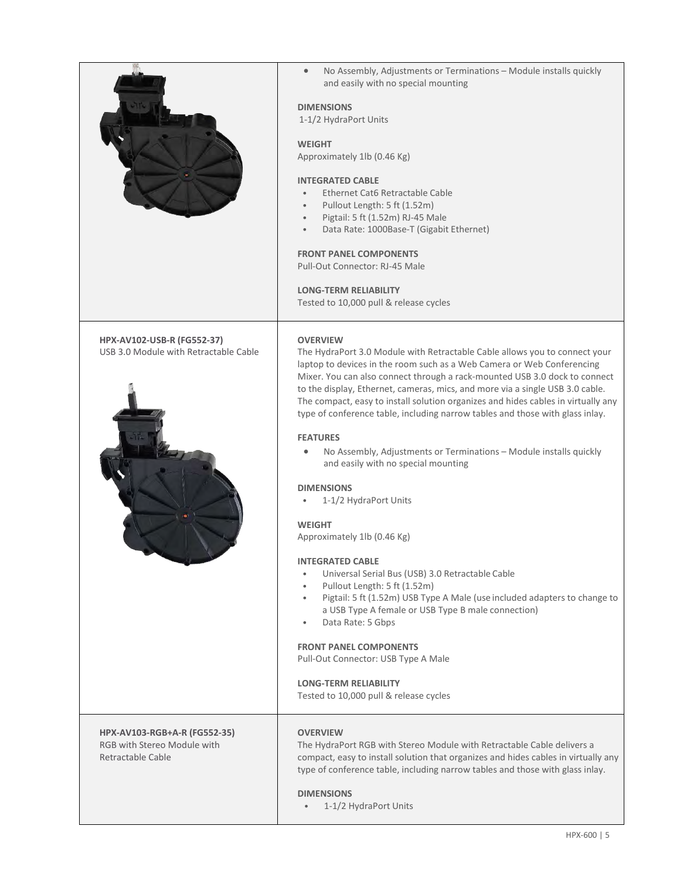|                                                                                  | No Assembly, Adjustments or Terminations - Module installs quickly<br>and easily with no special mounting                                                                                                                                                                                                                                                                                                                                                                                                    |
|----------------------------------------------------------------------------------|--------------------------------------------------------------------------------------------------------------------------------------------------------------------------------------------------------------------------------------------------------------------------------------------------------------------------------------------------------------------------------------------------------------------------------------------------------------------------------------------------------------|
|                                                                                  | <b>DIMENSIONS</b><br>1-1/2 HydraPort Units                                                                                                                                                                                                                                                                                                                                                                                                                                                                   |
|                                                                                  | <b>WEIGHT</b><br>Approximately 1lb (0.46 Kg)                                                                                                                                                                                                                                                                                                                                                                                                                                                                 |
|                                                                                  | <b>INTEGRATED CABLE</b><br>Ethernet Cat6 Retractable Cable<br>Pullout Length: 5 ft (1.52m)<br>Pigtail: 5 ft (1.52m) RJ-45 Male<br>Data Rate: 1000Base-T (Gigabit Ethernet)                                                                                                                                                                                                                                                                                                                                   |
|                                                                                  | <b>FRONT PANEL COMPONENTS</b><br>Pull-Out Connector: RJ-45 Male                                                                                                                                                                                                                                                                                                                                                                                                                                              |
|                                                                                  | <b>LONG-TERM RELIABILITY</b><br>Tested to 10,000 pull & release cycles                                                                                                                                                                                                                                                                                                                                                                                                                                       |
| HPX-AV102-USB-R (FG552-37)<br>USB 3.0 Module with Retractable Cable              | <b>OVERVIEW</b><br>The HydraPort 3.0 Module with Retractable Cable allows you to connect your<br>laptop to devices in the room such as a Web Camera or Web Conferencing<br>Mixer. You can also connect through a rack-mounted USB 3.0 dock to connect<br>to the display, Ethernet, cameras, mics, and more via a single USB 3.0 cable.<br>The compact, easy to install solution organizes and hides cables in virtually any<br>type of conference table, including narrow tables and those with glass inlay. |
|                                                                                  | <b>FEATURES</b><br>No Assembly, Adjustments or Terminations - Module installs quickly<br>and easily with no special mounting<br><b>DIMENSIONS</b>                                                                                                                                                                                                                                                                                                                                                            |
|                                                                                  | 1-1/2 HydraPort Units<br><b>WEIGHT</b>                                                                                                                                                                                                                                                                                                                                                                                                                                                                       |
|                                                                                  | Approximately 1lb (0.46 Kg)                                                                                                                                                                                                                                                                                                                                                                                                                                                                                  |
|                                                                                  | <b>INTEGRATED CABLE</b><br>Universal Serial Bus (USB) 3.0 Retractable Cable<br>$\bullet$<br>Pullout Length: 5 ft (1.52m)<br>$\bullet$<br>Pigtail: 5 ft (1.52m) USB Type A Male (use included adapters to change to<br>a USB Type A female or USB Type B male connection)                                                                                                                                                                                                                                     |
|                                                                                  | Data Rate: 5 Gbps<br>$\bullet$<br><b>FRONT PANEL COMPONENTS</b><br>Pull-Out Connector: USB Type A Male                                                                                                                                                                                                                                                                                                                                                                                                       |
|                                                                                  | <b>LONG-TERM RELIABILITY</b><br>Tested to 10,000 pull & release cycles                                                                                                                                                                                                                                                                                                                                                                                                                                       |
| HPX-AV103-RGB+A-R (FG552-35)<br>RGB with Stereo Module with<br>Retractable Cable | <b>OVERVIEW</b><br>The HydraPort RGB with Stereo Module with Retractable Cable delivers a<br>compact, easy to install solution that organizes and hides cables in virtually any<br>type of conference table, including narrow tables and those with glass inlay.                                                                                                                                                                                                                                             |
|                                                                                  | <b>DIMENSIONS</b><br>1-1/2 HydraPort Units                                                                                                                                                                                                                                                                                                                                                                                                                                                                   |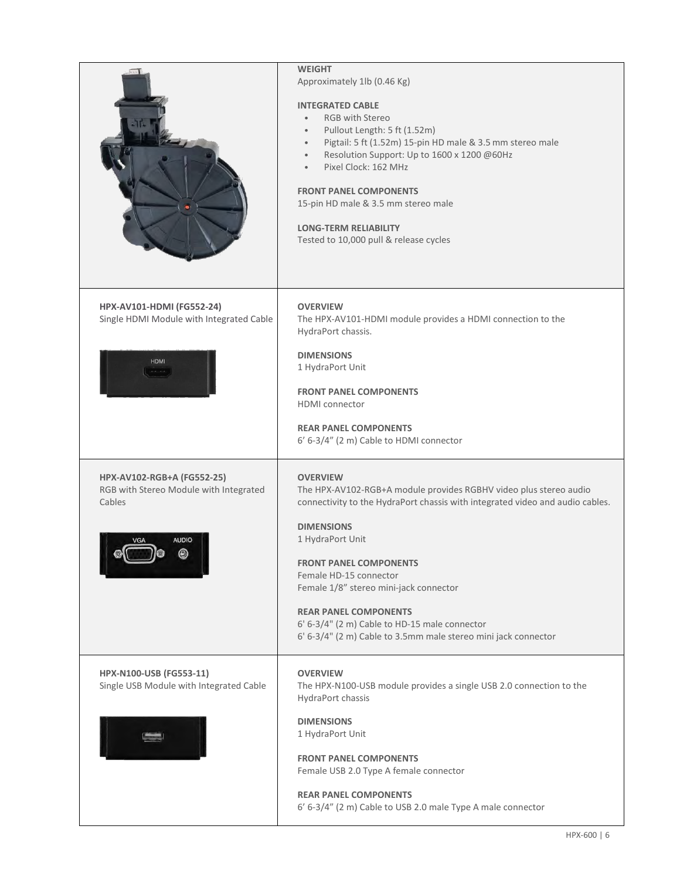|                                                                                                     | <b>WEIGHT</b><br>Approximately 1lb (0.46 Kg)<br><b>INTEGRATED CABLE</b><br><b>RGB</b> with Stereo<br>$\bullet$<br>Pullout Length: 5 ft (1.52m)<br>$\bullet$<br>Pigtail: 5 ft (1.52m) 15-pin HD male & 3.5 mm stereo male<br>$\bullet$<br>Resolution Support: Up to 1600 x 1200 @60Hz<br>$\bullet$<br>Pixel Clock: 162 MHz<br>$\bullet$<br><b>FRONT PANEL COMPONENTS</b><br>15-pin HD male & 3.5 mm stereo male<br><b>LONG-TERM RELIABILITY</b><br>Tested to 10,000 pull & release cycles |
|-----------------------------------------------------------------------------------------------------|------------------------------------------------------------------------------------------------------------------------------------------------------------------------------------------------------------------------------------------------------------------------------------------------------------------------------------------------------------------------------------------------------------------------------------------------------------------------------------------|
| HPX-AV101-HDMI (FG552-24)<br>Single HDMI Module with Integrated Cable                               | <b>OVERVIEW</b><br>The HPX-AV101-HDMI module provides a HDMI connection to the<br>HydraPort chassis.                                                                                                                                                                                                                                                                                                                                                                                     |
| <b>HDMI</b>                                                                                         | <b>DIMENSIONS</b><br>1 HydraPort Unit<br><b>FRONT PANEL COMPONENTS</b><br><b>HDMI</b> connector<br><b>REAR PANEL COMPONENTS</b><br>6' 6-3/4" (2 m) Cable to HDMI connector                                                                                                                                                                                                                                                                                                               |
| HPX-AV102-RGB+A (FG552-25)<br>RGB with Stereo Module with Integrated<br>Cables<br><b>AUDIO</b><br>◉ | <b>OVERVIEW</b><br>The HPX-AV102-RGB+A module provides RGBHV video plus stereo audio<br>connectivity to the HydraPort chassis with integrated video and audio cables.<br><b>DIMENSIONS</b><br>1 HydraPort Unit<br><b>FRONT PANEL COMPONENTS</b><br>Female HD-15 connector<br>Female 1/8" stereo mini-jack connector<br><b>REAR PANEL COMPONENTS</b><br>6' 6-3/4" (2 m) Cable to HD-15 male connector<br>6' 6-3/4" (2 m) Cable to 3.5mm male stereo mini jack connector                   |
| HPX-N100-USB (FG553-11)<br>Single USB Module with Integrated Cable                                  | <b>OVERVIEW</b><br>The HPX-N100-USB module provides a single USB 2.0 connection to the<br>HydraPort chassis<br><b>DIMENSIONS</b><br>1 HydraPort Unit<br><b>FRONT PANEL COMPONENTS</b><br>Female USB 2.0 Type A female connector<br><b>REAR PANEL COMPONENTS</b><br>6' 6-3/4" (2 m) Cable to USB 2.0 male Type A male connector                                                                                                                                                           |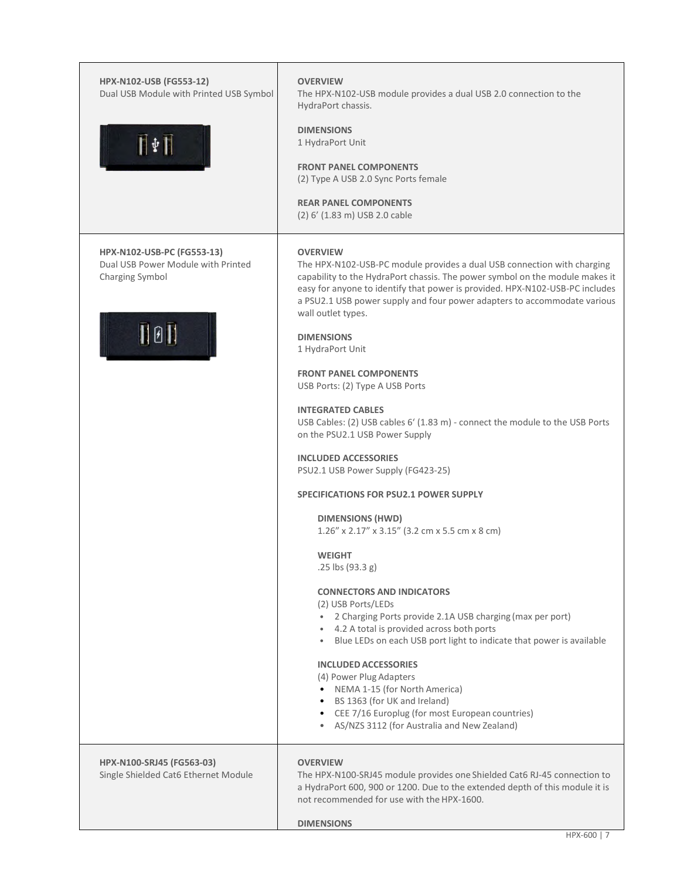| HPX-N102-USB (FG553-12)<br>Dual USB Module with Printed USB Symbol<br>$\prod \Phi$ $\prod$           | <b>OVERVIEW</b><br>The HPX-N102-USB module provides a dual USB 2.0 connection to the<br>HydraPort chassis.<br><b>DIMENSIONS</b><br>1 HydraPort Unit<br><b>FRONT PANEL COMPONENTS</b><br>(2) Type A USB 2.0 Sync Ports female<br><b>REAR PANEL COMPONENTS</b><br>(2) 6' (1.83 m) USB 2.0 cable                                                                                                                                                                                                                                                                                                                                                                                                                                                                                                                                                                                                                                                                                                                                                                                                                                                                                                                                                                                                                                                          |
|------------------------------------------------------------------------------------------------------|--------------------------------------------------------------------------------------------------------------------------------------------------------------------------------------------------------------------------------------------------------------------------------------------------------------------------------------------------------------------------------------------------------------------------------------------------------------------------------------------------------------------------------------------------------------------------------------------------------------------------------------------------------------------------------------------------------------------------------------------------------------------------------------------------------------------------------------------------------------------------------------------------------------------------------------------------------------------------------------------------------------------------------------------------------------------------------------------------------------------------------------------------------------------------------------------------------------------------------------------------------------------------------------------------------------------------------------------------------|
| HPX-N102-USB-PC (FG553-13)<br>Dual USB Power Module with Printed<br>Charging Symbol<br>$\Pi$ 0 $\Pi$ | <b>OVERVIEW</b><br>The HPX-N102-USB-PC module provides a dual USB connection with charging<br>capability to the HydraPort chassis. The power symbol on the module makes it<br>easy for anyone to identify that power is provided. HPX-N102-USB-PC includes<br>a PSU2.1 USB power supply and four power adapters to accommodate various<br>wall outlet types.<br><b>DIMENSIONS</b><br>1 HydraPort Unit<br><b>FRONT PANEL COMPONENTS</b><br>USB Ports: (2) Type A USB Ports<br><b>INTEGRATED CABLES</b><br>USB Cables: (2) USB cables 6' (1.83 m) - connect the module to the USB Ports<br>on the PSU2.1 USB Power Supply<br><b>INCLUDED ACCESSORIES</b><br>PSU2.1 USB Power Supply (FG423-25)<br><b>SPECIFICATIONS FOR PSU2.1 POWER SUPPLY</b><br><b>DIMENSIONS (HWD)</b><br>1.26" x 2.17" x 3.15" (3.2 cm x 5.5 cm x 8 cm)<br><b>WEIGHT</b><br>.25 lbs (93.3 g)<br><b>CONNECTORS AND INDICATORS</b><br>(2) USB Ports/LEDs<br>• 2 Charging Ports provide 2.1A USB charging (max per port)<br>• 4.2 A total is provided across both ports<br>• Blue LEDs on each USB port light to indicate that power is available<br><b>INCLUDED ACCESSORIES</b><br>(4) Power Plug Adapters<br>• NEMA 1-15 (for North America)<br>• BS 1363 (for UK and Ireland)<br>• CEE 7/16 Europlug (for most European countries)<br>• AS/NZS 3112 (for Australia and New Zealand) |
| HPX-N100-SRJ45 (FG563-03)<br>Single Shielded Cat6 Ethernet Module                                    | <b>OVERVIEW</b><br>The HPX-N100-SRJ45 module provides one Shielded Cat6 RJ-45 connection to<br>a HydraPort 600, 900 or 1200. Due to the extended depth of this module it is<br>not recommended for use with the HPX-1600.<br><b>DIMENSIONS</b>                                                                                                                                                                                                                                                                                                                                                                                                                                                                                                                                                                                                                                                                                                                                                                                                                                                                                                                                                                                                                                                                                                         |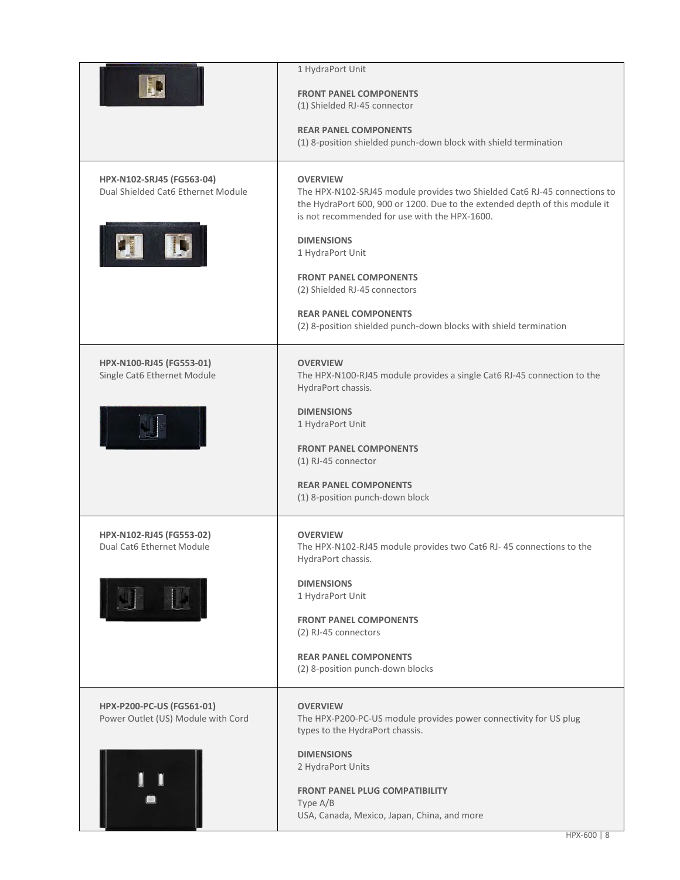|                                                                 | 1 HydraPort Unit<br><b>FRONT PANEL COMPONENTS</b><br>(1) Shielded RJ-45 connector<br><b>REAR PANEL COMPONENTS</b><br>(1) 8-position shielded punch-down block with shield termination                                        |
|-----------------------------------------------------------------|------------------------------------------------------------------------------------------------------------------------------------------------------------------------------------------------------------------------------|
| HPX-N102-SRJ45 (FG563-04)<br>Dual Shielded Cat6 Ethernet Module | <b>OVERVIEW</b><br>The HPX-N102-SRJ45 module provides two Shielded Cat6 RJ-45 connections to<br>the HydraPort 600, 900 or 1200. Due to the extended depth of this module it<br>is not recommended for use with the HPX-1600. |
|                                                                 | <b>DIMENSIONS</b><br>1 HydraPort Unit<br><b>FRONT PANEL COMPONENTS</b><br>(2) Shielded RJ-45 connectors                                                                                                                      |
|                                                                 | <b>REAR PANEL COMPONENTS</b><br>(2) 8-position shielded punch-down blocks with shield termination                                                                                                                            |
| HPX-N100-RJ45 (FG553-01)<br>Single Cat6 Ethernet Module         | <b>OVERVIEW</b><br>The HPX-N100-RJ45 module provides a single Cat6 RJ-45 connection to the<br>HydraPort chassis.                                                                                                             |
|                                                                 | <b>DIMENSIONS</b><br>1 HydraPort Unit<br><b>FRONT PANEL COMPONENTS</b><br>(1) RJ-45 connector<br><b>REAR PANEL COMPONENTS</b>                                                                                                |
|                                                                 | (1) 8-position punch-down block                                                                                                                                                                                              |
| HPX-N102-RJ45 (FG553-02)<br>Dual Cat6 Ethernet Module           | <b>OVERVIEW</b><br>The HPX-N102-RJ45 module provides two Cat6 RJ-45 connections to the<br>HydraPort chassis.                                                                                                                 |
|                                                                 | <b>DIMENSIONS</b><br>1 HydraPort Unit                                                                                                                                                                                        |
|                                                                 | <b>FRONT PANEL COMPONENTS</b><br>(2) RJ-45 connectors                                                                                                                                                                        |
|                                                                 | <b>REAR PANEL COMPONENTS</b><br>(2) 8-position punch-down blocks                                                                                                                                                             |
| HPX-P200-PC-US (FG561-01)<br>Power Outlet (US) Module with Cord | <b>OVERVIEW</b><br>The HPX-P200-PC-US module provides power connectivity for US plug<br>types to the HydraPort chassis.                                                                                                      |
|                                                                 | <b>DIMENSIONS</b><br>2 HydraPort Units<br><b>FRONT PANEL PLUG COMPATIBILITY</b><br>Type A/B                                                                                                                                  |
|                                                                 | USA, Canada, Mexico, Japan, China, and more                                                                                                                                                                                  |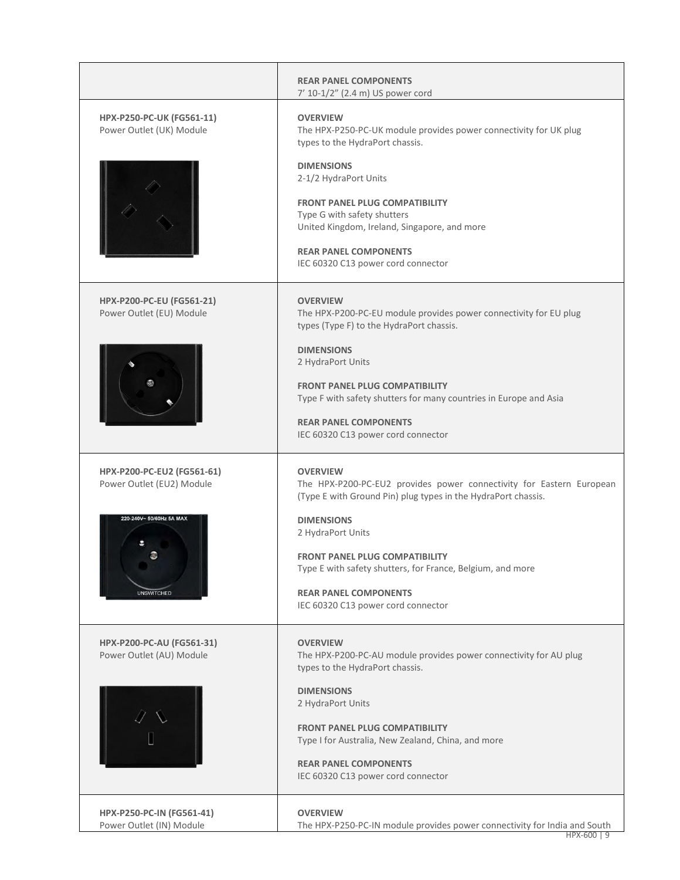|                                                                | <b>REAR PANEL COMPONENTS</b><br>7' 10-1/2" (2.4 m) US power cord                                                                                                                                                           |
|----------------------------------------------------------------|----------------------------------------------------------------------------------------------------------------------------------------------------------------------------------------------------------------------------|
| <b>HPX-P250-PC-UK (FG561-11)</b><br>Power Outlet (UK) Module   | <b>OVERVIEW</b><br>The HPX-P250-PC-UK module provides power connectivity for UK plug<br>types to the HydraPort chassis.<br><b>DIMENSIONS</b>                                                                               |
|                                                                | 2-1/2 HydraPort Units<br><b>FRONT PANEL PLUG COMPATIBILITY</b><br>Type G with safety shutters<br>United Kingdom, Ireland, Singapore, and more<br><b>REAR PANEL COMPONENTS</b><br>IEC 60320 C13 power cord connector        |
| HPX-P200-PC-EU (FG561-21)<br>Power Outlet (EU) Module          | <b>OVERVIEW</b><br>The HPX-P200-PC-EU module provides power connectivity for EU plug<br>types (Type F) to the HydraPort chassis.                                                                                           |
|                                                                | <b>DIMENSIONS</b><br>2 HydraPort Units<br><b>FRONT PANEL PLUG COMPATIBILITY</b><br>Type F with safety shutters for many countries in Europe and Asia<br><b>REAR PANEL COMPONENTS</b><br>IEC 60320 C13 power cord connector |
| <b>HPX-P200-PC-EU2 (FG561-61)</b><br>Power Outlet (EU2) Module | <b>OVERVIEW</b><br>The HPX-P200-PC-EU2 provides power connectivity for Eastern European<br>(Type E with Ground Pin) plug types in the HydraPort chassis.                                                                   |
| 220-240V~ 50/60Hz 5A MAX<br><b>UNSWITCHED</b>                  | <b>DIMENSIONS</b><br>2 HydraPort Units<br><b>FRONT PANEL PLUG COMPATIBILITY</b><br>Type E with safety shutters, for France, Belgium, and more<br><b>REAR PANEL COMPONENTS</b><br>IEC 60320 C13 power cord connector        |
| HPX-P200-PC-AU (FG561-31)<br>Power Outlet (AU) Module          | <b>OVERVIEW</b><br>The HPX-P200-PC-AU module provides power connectivity for AU plug<br>types to the HydraPort chassis.                                                                                                    |
|                                                                | <b>DIMENSIONS</b><br>2 HydraPort Units<br><b>FRONT PANEL PLUG COMPATIBILITY</b><br>Type I for Australia, New Zealand, China, and more<br><b>REAR PANEL COMPONENTS</b><br>IEC 60320 C13 power cord connector                |
| HPX-P250-PC-IN (FG561-41)<br>Power Outlet (IN) Module          | <b>OVERVIEW</b><br>The HPX-P250-PC-IN module provides power connectivity for India and South                                                                                                                               |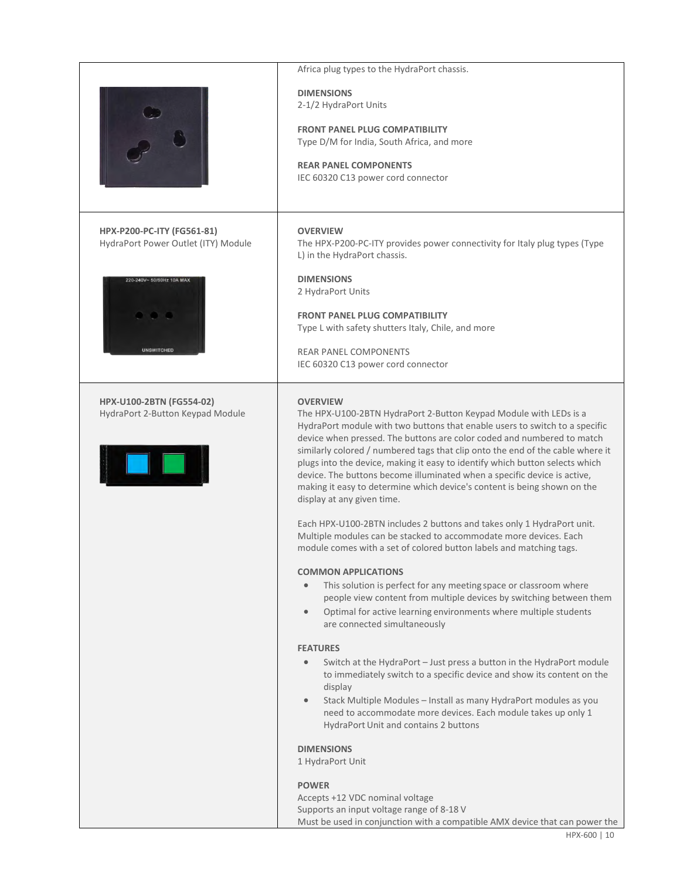|                                                                     | Africa plug types to the HydraPort chassis.                                                                                                                                                                                                                                                                                                                                                                                                                                                                                                                                                                                                                                                                                                                                                                                 |
|---------------------------------------------------------------------|-----------------------------------------------------------------------------------------------------------------------------------------------------------------------------------------------------------------------------------------------------------------------------------------------------------------------------------------------------------------------------------------------------------------------------------------------------------------------------------------------------------------------------------------------------------------------------------------------------------------------------------------------------------------------------------------------------------------------------------------------------------------------------------------------------------------------------|
|                                                                     | <b>DIMENSIONS</b><br>2-1/2 HydraPort Units<br><b>FRONT PANEL PLUG COMPATIBILITY</b><br>Type D/M for India, South Africa, and more<br><b>REAR PANEL COMPONENTS</b><br>IEC 60320 C13 power cord connector                                                                                                                                                                                                                                                                                                                                                                                                                                                                                                                                                                                                                     |
| HPX-P200-PC-ITY (FG561-81)<br>HydraPort Power Outlet (ITY) Module   | <b>OVERVIEW</b><br>The HPX-P200-PC-ITY provides power connectivity for Italy plug types (Type<br>L) in the HydraPort chassis.                                                                                                                                                                                                                                                                                                                                                                                                                                                                                                                                                                                                                                                                                               |
| 220-240V- 50/60Hz 10A MAX<br><b>UNSWITCHED</b>                      | <b>DIMENSIONS</b><br>2 HydraPort Units<br><b>FRONT PANEL PLUG COMPATIBILITY</b><br>Type L with safety shutters Italy, Chile, and more<br><b>REAR PANEL COMPONENTS</b><br>IEC 60320 C13 power cord connector                                                                                                                                                                                                                                                                                                                                                                                                                                                                                                                                                                                                                 |
| <b>HPX-U100-2BTN (FG554-02)</b><br>HydraPort 2-Button Keypad Module | <b>OVERVIEW</b><br>The HPX-U100-2BTN HydraPort 2-Button Keypad Module with LEDs is a<br>HydraPort module with two buttons that enable users to switch to a specific<br>device when pressed. The buttons are color coded and numbered to match<br>similarly colored / numbered tags that clip onto the end of the cable where it<br>plugs into the device, making it easy to identify which button selects which<br>device. The buttons become illuminated when a specific device is active,<br>making it easy to determine which device's content is being shown on the<br>display at any given time.<br>Each HPX-U100-2BTN includes 2 buttons and takes only 1 HydraPort unit.<br>Multiple modules can be stacked to accommodate more devices. Each<br>module comes with a set of colored button labels and matching tags. |
|                                                                     | <b>COMMON APPLICATIONS</b><br>This solution is perfect for any meeting space or classroom where<br>$\bullet$<br>people view content from multiple devices by switching between them<br>Optimal for active learning environments where multiple students<br>$\bullet$<br>are connected simultaneously<br><b>FEATURES</b><br>Switch at the HydraPort - Just press a button in the HydraPort module<br>$\bullet$<br>to immediately switch to a specific device and show its content on the                                                                                                                                                                                                                                                                                                                                     |
|                                                                     | display<br>Stack Multiple Modules - Install as many HydraPort modules as you<br>$\bullet$<br>need to accommodate more devices. Each module takes up only 1<br>HydraPort Unit and contains 2 buttons<br><b>DIMENSIONS</b><br>1 HydraPort Unit<br><b>POWER</b><br>Accepts +12 VDC nominal voltage<br>Supports an input voltage range of 8-18 V<br>Must be used in conjunction with a compatible AMX device that can power the                                                                                                                                                                                                                                                                                                                                                                                                 |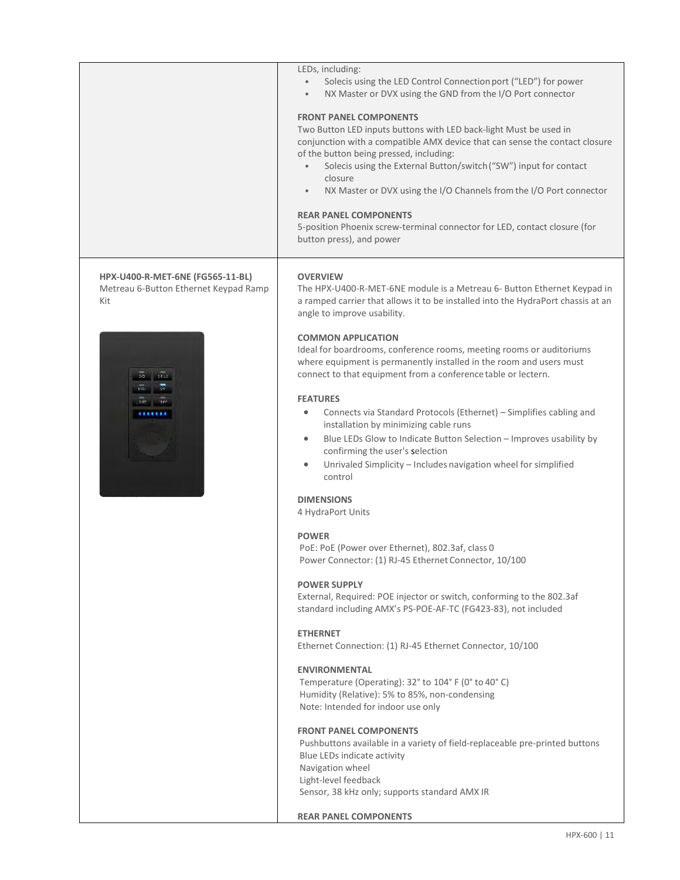|                                                                                                           | LEDs, including:<br>Solecis using the LED Control Connection port ("LED") for power<br>NX Master or DVX using the GND from the I/O Port connector<br><b>FRONT PANEL COMPONENTS</b><br>Two Button LED inputs buttons with LED back-light Must be used in<br>conjunction with a compatible AMX device that can sense the contact closure<br>of the button being pressed, including:<br>Solecis using the External Button/switch ("SW") input for contact<br>closure<br>NX Master or DVX using the I/O Channels from the I/O Port connector<br>$\bullet$<br><b>REAR PANEL COMPONENTS</b><br>5-position Phoenix screw-terminal connector for LED, contact closure (for<br>button press), and power                                                                                                                                                                                                                                                                                                                                                                                                                                                                                                                                                                                                                                                                                                                                                                                                                                                                                                                                                                    |
|-----------------------------------------------------------------------------------------------------------|-------------------------------------------------------------------------------------------------------------------------------------------------------------------------------------------------------------------------------------------------------------------------------------------------------------------------------------------------------------------------------------------------------------------------------------------------------------------------------------------------------------------------------------------------------------------------------------------------------------------------------------------------------------------------------------------------------------------------------------------------------------------------------------------------------------------------------------------------------------------------------------------------------------------------------------------------------------------------------------------------------------------------------------------------------------------------------------------------------------------------------------------------------------------------------------------------------------------------------------------------------------------------------------------------------------------------------------------------------------------------------------------------------------------------------------------------------------------------------------------------------------------------------------------------------------------------------------------------------------------------------------------------------------------|
| HPX-U400-R-MET-6NE (FG565-11-BL)<br>Metreau 6-Button Ethernet Keypad Ramp<br>Kit<br>$515$<br>$_{\rm U40}$ | <b>OVERVIEW</b><br>The HPX-U400-R-MET-6NE module is a Metreau 6- Button Ethernet Keypad in<br>a ramped carrier that allows it to be installed into the HydraPort chassis at an<br>angle to improve usability.<br><b>COMMON APPLICATION</b><br>Ideal for boardrooms, conference rooms, meeting rooms or auditoriums<br>where equipment is permanently installed in the room and users must<br>connect to that equipment from a conference table or lectern.<br><b>FEATURES</b><br>Connects via Standard Protocols (Ethernet) - Simplifies cabling and<br>۰<br>installation by minimizing cable runs<br>Blue LEDs Glow to Indicate Button Selection - Improves usability by<br>$\bullet$<br>confirming the user's selection<br>Unrivaled Simplicity - Includes navigation wheel for simplified<br>$\bullet$<br>control<br><b>DIMENSIONS</b><br>4 HydraPort Units<br><b>POWER</b><br>PoE: PoE (Power over Ethernet), 802.3af, class 0<br>Power Connector: (1) RJ-45 Ethernet Connector, 10/100<br><b>POWER SUPPLY</b><br>External, Required: POE injector or switch, conforming to the 802.3af<br>standard including AMX's PS-POE-AF-TC (FG423-83), not included<br><b>ETHERNET</b><br>Ethernet Connection: (1) RJ-45 Ethernet Connector, 10/100<br><b>ENVIRONMENTAL</b><br>Temperature (Operating): 32° to 104° F (0° to 40° C)<br>Humidity (Relative): 5% to 85%, non-condensing<br>Note: Intended for indoor use only<br><b>FRONT PANEL COMPONENTS</b><br>Pushbuttons available in a variety of field-replaceable pre-printed buttons<br>Blue LEDs indicate activity<br>Navigation wheel<br>Light-level feedback<br>Sensor, 38 kHz only; supports standard AMX IR |
|                                                                                                           | <b>REAR PANEL COMPONENTS</b>                                                                                                                                                                                                                                                                                                                                                                                                                                                                                                                                                                                                                                                                                                                                                                                                                                                                                                                                                                                                                                                                                                                                                                                                                                                                                                                                                                                                                                                                                                                                                                                                                                      |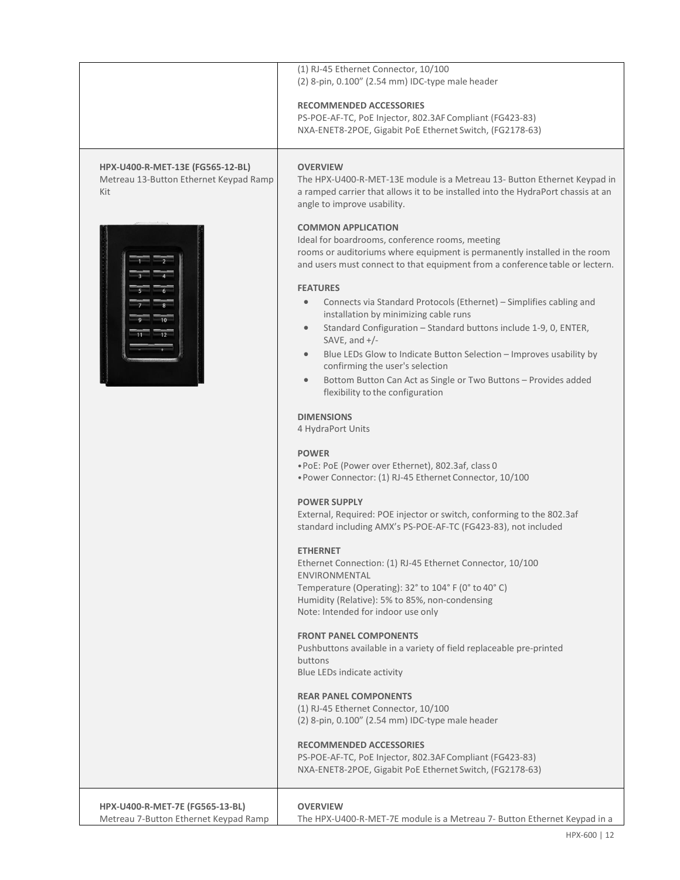|                                                                                   | (1) RJ-45 Ethernet Connector, 10/100<br>(2) 8-pin, 0.100" (2.54 mm) IDC-type male header<br><b>RECOMMENDED ACCESSORIES</b><br>PS-POE-AF-TC, PoE Injector, 802.3AF Compliant (FG423-83)<br>NXA-ENET8-2POE, Gigabit PoE Ethernet Switch, (FG2178-63)                                                                                                                                                                                                                                                                                                                                                                                                                                                                                                                                                                                                                                                                                                                                                                                                                                                                                                                                                                                                                                                                                                                                                                                                                                                                                                                                                                                                                                                                                                                |
|-----------------------------------------------------------------------------------|-------------------------------------------------------------------------------------------------------------------------------------------------------------------------------------------------------------------------------------------------------------------------------------------------------------------------------------------------------------------------------------------------------------------------------------------------------------------------------------------------------------------------------------------------------------------------------------------------------------------------------------------------------------------------------------------------------------------------------------------------------------------------------------------------------------------------------------------------------------------------------------------------------------------------------------------------------------------------------------------------------------------------------------------------------------------------------------------------------------------------------------------------------------------------------------------------------------------------------------------------------------------------------------------------------------------------------------------------------------------------------------------------------------------------------------------------------------------------------------------------------------------------------------------------------------------------------------------------------------------------------------------------------------------------------------------------------------------------------------------------------------------|
| HPX-U400-R-MET-13E (FG565-12-BL)<br>Metreau 13-Button Ethernet Keypad Ramp<br>Kit | <b>OVERVIEW</b><br>The HPX-U400-R-MET-13E module is a Metreau 13- Button Ethernet Keypad in<br>a ramped carrier that allows it to be installed into the HydraPort chassis at an<br>angle to improve usability.                                                                                                                                                                                                                                                                                                                                                                                                                                                                                                                                                                                                                                                                                                                                                                                                                                                                                                                                                                                                                                                                                                                                                                                                                                                                                                                                                                                                                                                                                                                                                    |
|                                                                                   | <b>COMMON APPLICATION</b><br>Ideal for boardrooms, conference rooms, meeting<br>rooms or auditoriums where equipment is permanently installed in the room<br>and users must connect to that equipment from a conference table or lectern.<br><b>FEATURES</b><br>Connects via Standard Protocols (Ethernet) - Simplifies cabling and<br>installation by minimizing cable runs<br>Standard Configuration - Standard buttons include 1-9, 0, ENTER,<br>$\bullet$<br>SAVE, and $+/-$<br>Blue LEDs Glow to Indicate Button Selection - Improves usability by<br>$\bullet$<br>confirming the user's selection<br>Bottom Button Can Act as Single or Two Buttons - Provides added<br>$\bullet$<br>flexibility to the configuration<br><b>DIMENSIONS</b><br>4 HydraPort Units<br><b>POWER</b><br>. PoE: PoE (Power over Ethernet), 802.3af, class 0<br>. Power Connector: (1) RJ-45 Ethernet Connector, 10/100<br><b>POWER SUPPLY</b><br>External, Required: POE injector or switch, conforming to the 802.3af<br>standard including AMX's PS-POE-AF-TC (FG423-83), not included<br><b>ETHERNET</b><br>Ethernet Connection: (1) RJ-45 Ethernet Connector, 10/100<br>ENVIRONMENTAL<br>Temperature (Operating): 32° to 104° F (0° to 40° C)<br>Humidity (Relative): 5% to 85%, non-condensing<br>Note: Intended for indoor use only<br><b>FRONT PANEL COMPONENTS</b><br>Pushbuttons available in a variety of field replaceable pre-printed<br>buttons<br>Blue LEDs indicate activity<br><b>REAR PANEL COMPONENTS</b><br>(1) RJ-45 Ethernet Connector, 10/100<br>(2) 8-pin, 0.100" (2.54 mm) IDC-type male header<br><b>RECOMMENDED ACCESSORIES</b><br>PS-POE-AF-TC, PoE Injector, 802.3AF Compliant (FG423-83)<br>NXA-ENET8-2POE, Gigabit PoE Ethernet Switch, (FG2178-63) |
| HPX-U400-R-MET-7E (FG565-13-BL)<br>Metreau 7-Button Ethernet Keypad Ramp          | <b>OVERVIEW</b><br>The HPX-U400-R-MET-7E module is a Metreau 7- Button Ethernet Keypad in a                                                                                                                                                                                                                                                                                                                                                                                                                                                                                                                                                                                                                                                                                                                                                                                                                                                                                                                                                                                                                                                                                                                                                                                                                                                                                                                                                                                                                                                                                                                                                                                                                                                                       |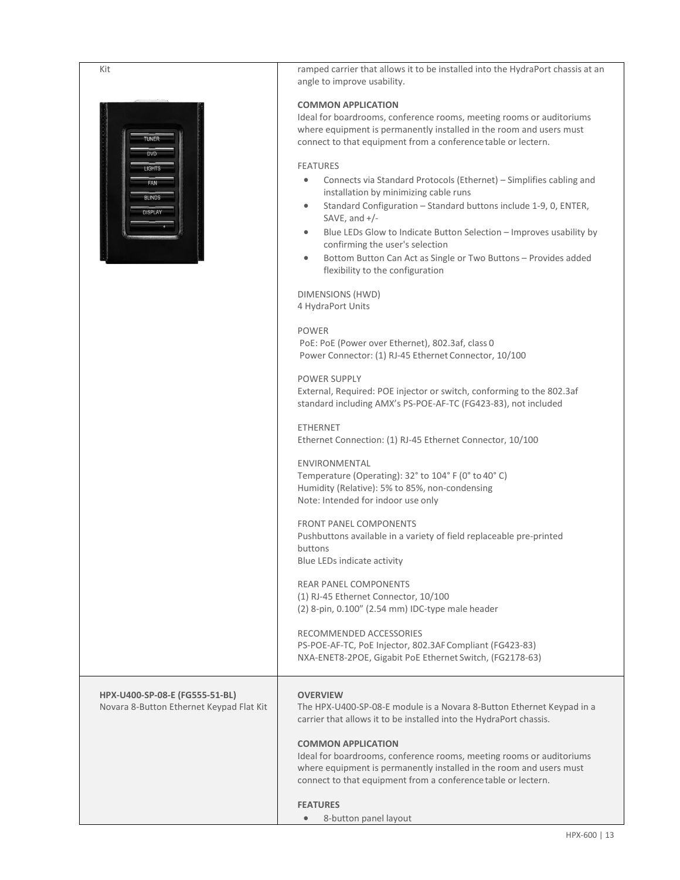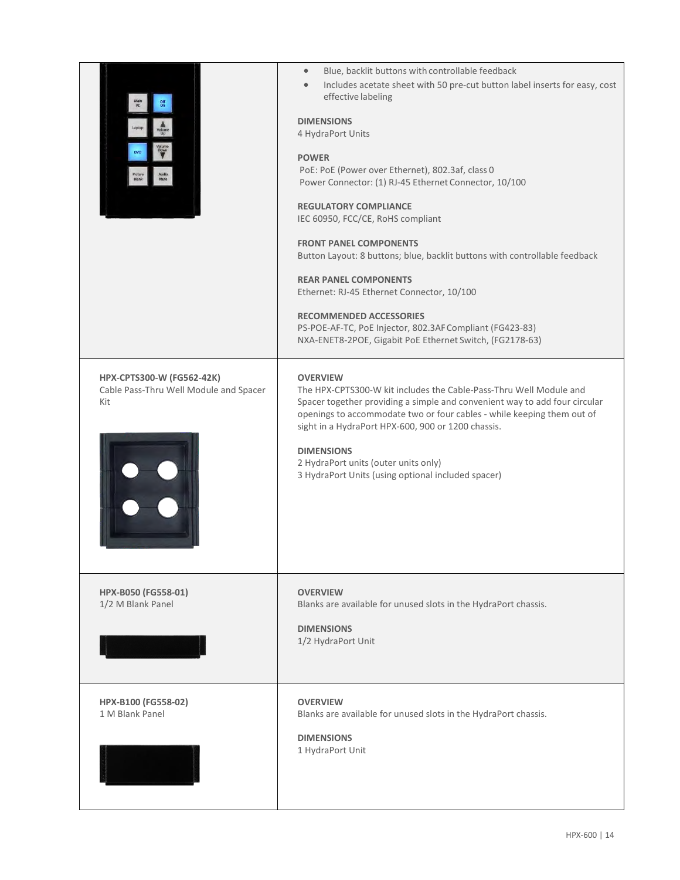|                                                                            | Blue, backlit buttons with controllable feedback<br>$\bullet$<br>Includes acetate sheet with 50 pre-cut button label inserts for easy, cost<br>$\bullet$<br>effective labeling<br><b>DIMENSIONS</b><br>4 HydraPort Units<br><b>POWER</b><br>PoE: PoE (Power over Ethernet), 802.3af, class 0<br>Power Connector: (1) RJ-45 Ethernet Connector, 10/100<br><b>REGULATORY COMPLIANCE</b><br>IEC 60950, FCC/CE, RoHS compliant<br><b>FRONT PANEL COMPONENTS</b><br>Button Layout: 8 buttons; blue, backlit buttons with controllable feedback<br><b>REAR PANEL COMPONENTS</b><br>Ethernet: RJ-45 Ethernet Connector, 10/100<br><b>RECOMMENDED ACCESSORIES</b><br>PS-POE-AF-TC, PoE Injector, 802.3AF Compliant (FG423-83)<br>NXA-ENET8-2POE, Gigabit PoE Ethernet Switch, (FG2178-63) |
|----------------------------------------------------------------------------|-----------------------------------------------------------------------------------------------------------------------------------------------------------------------------------------------------------------------------------------------------------------------------------------------------------------------------------------------------------------------------------------------------------------------------------------------------------------------------------------------------------------------------------------------------------------------------------------------------------------------------------------------------------------------------------------------------------------------------------------------------------------------------------|
| HPX-CPTS300-W (FG562-42K)<br>Cable Pass-Thru Well Module and Spacer<br>Kit | <b>OVERVIEW</b><br>The HPX-CPTS300-W kit includes the Cable-Pass-Thru Well Module and<br>Spacer together providing a simple and convenient way to add four circular<br>openings to accommodate two or four cables - while keeping them out of<br>sight in a HydraPort HPX-600, 900 or 1200 chassis.<br><b>DIMENSIONS</b><br>2 HydraPort units (outer units only)<br>3 HydraPort Units (using optional included spacer)                                                                                                                                                                                                                                                                                                                                                            |
| HPX-B050 (FG558-01)<br>1/2 M Blank Panel                                   | <b>OVERVIEW</b><br>Blanks are available for unused slots in the HydraPort chassis.<br><b>DIMENSIONS</b><br>1/2 HydraPort Unit                                                                                                                                                                                                                                                                                                                                                                                                                                                                                                                                                                                                                                                     |
| HPX-B100 (FG558-02)<br>1 M Blank Panel                                     | <b>OVERVIEW</b><br>Blanks are available for unused slots in the HydraPort chassis.<br><b>DIMENSIONS</b><br>1 HydraPort Unit                                                                                                                                                                                                                                                                                                                                                                                                                                                                                                                                                                                                                                                       |